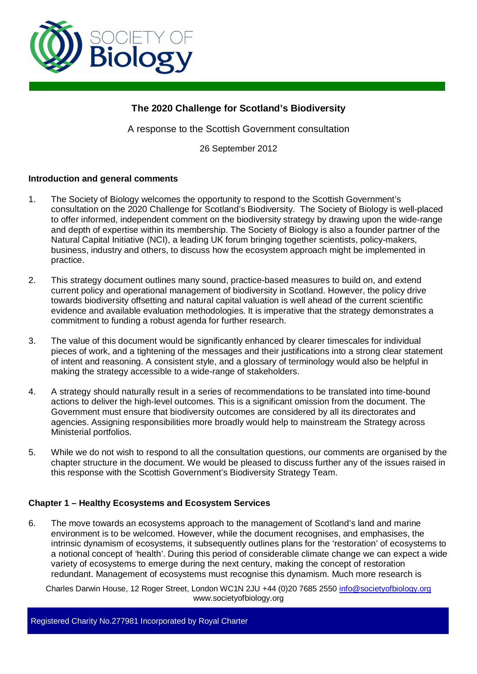

# **The 2020 Challenge for Scotland's Biodiversity**

A response to the Scottish Government consultation

26 September 2012

### **Introduction and general comments**

- 1. The Society of Biology welcomes the opportunity to respond to the Scottish Government's consultation on the 2020 Challenge for Scotland's Biodiversity. The Society of Biology is well-placed to offer informed, independent comment on the biodiversity strategy by drawing upon the wide-range and depth of expertise within its membership. The Society of Biology is also a founder partner of the Natural Capital Initiative (NCI), a leading UK forum bringing together scientists, policy-makers, business, industry and others, to discuss how the ecosystem approach might be implemented in practice.
- 2. This strategy document outlines many sound, practice-based measures to build on, and extend current policy and operational management of biodiversity in Scotland. However, the policy drive towards biodiversity offsetting and natural capital valuation is well ahead of the current scientific evidence and available evaluation methodologies. It is imperative that the strategy demonstrates a commitment to funding a robust agenda for further research.
- 3. The value of this document would be significantly enhanced by clearer timescales for individual pieces of work, and a tightening of the messages and their justifications into a strong clear statement of intent and reasoning. A consistent style, and a glossary of terminology would also be helpful in making the strategy accessible to a wide-range of stakeholders.
- 4. A strategy should naturally result in a series of recommendations to be translated into time-bound actions to deliver the high-level outcomes. This is a significant omission from the document. The Government must ensure that biodiversity outcomes are considered by all its directorates and agencies. Assigning responsibilities more broadly would help to mainstream the Strategy across Ministerial portfolios.
- 5. While we do not wish to respond to all the consultation questions, our comments are organised by the chapter structure in the document. We would be pleased to discuss further any of the issues raised in this response with the Scottish Government's Biodiversity Strategy Team.

### **Chapter 1 – Healthy Ecosystems and Ecosystem Services**

6. The move towards an ecosystems approach to the management of Scotland's land and marine environment is to be welcomed. However, while the document recognises, and emphasises, the intrinsic dynamism of ecosystems, it subsequently outlines plans for the 'restoration' of ecosystems to a notional concept of 'health'. During this period of considerable climate change we can expect a wide variety of ecosystems to emerge during the next century, making the concept of restoration redundant. Management of ecosystems must recognise this dynamism. Much more research is

Charles Darwin House, 12 Roger Street, London WC1N 2JU +44 (0)20 7685 2550 info@societyofbiology.org www.societyofbiology.org

Registered Charity No.277981 Incorporated by Royal Charter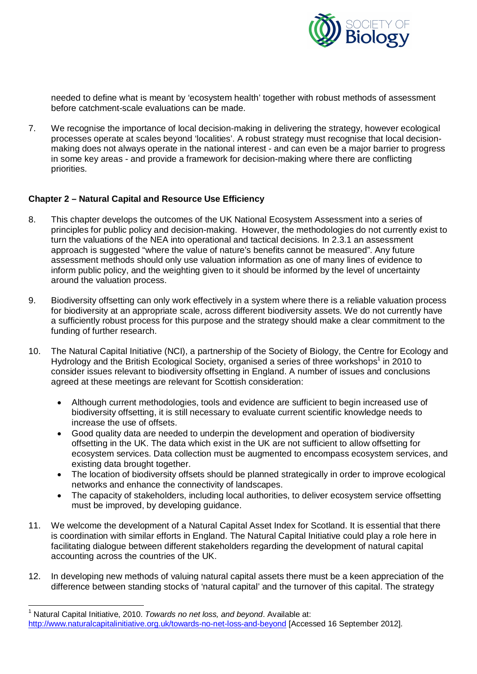

needed to define what is meant by 'ecosystem health' together with robust methods of assessment before catchment-scale evaluations can be made.

7. We recognise the importance of local decision-making in delivering the strategy, however ecological processes operate at scales beyond 'localities'. A robust strategy must recognise that local decisionmaking does not always operate in the national interest - and can even be a major barrier to progress in some key areas - and provide a framework for decision-making where there are conflicting priorities.

### **Chapter 2 – Natural Capital and Resource Use Efficiency**

- 8. This chapter develops the outcomes of the UK National Ecosystem Assessment into a series of principles for public policy and decision-making. However, the methodologies do not currently exist to turn the valuations of the NEA into operational and tactical decisions. In 2.3.1 an assessment approach is suggested "where the value of nature's benefits cannot be measured". Any future assessment methods should only use valuation information as one of many lines of evidence to inform public policy, and the weighting given to it should be informed by the level of uncertainty around the valuation process.
- 9. Biodiversity offsetting can only work effectively in a system where there is a reliable valuation process for biodiversity at an appropriate scale, across different biodiversity assets. We do not currently have a sufficiently robust process for this purpose and the strategy should make a clear commitment to the funding of further research.
- 10. The Natural Capital Initiative (NCI), a partnership of the Society of Biology, the Centre for Ecology and Hydrology and the British Ecological Society, organised a series of three workshops<sup>[1](#page-1-0)</sup> in 2010 to consider issues relevant to biodiversity offsetting in England. A number of issues and conclusions agreed at these meetings are relevant for Scottish consideration:
	- Although current methodologies, tools and evidence are sufficient to begin increased use of biodiversity offsetting, it is still necessary to evaluate current scientific knowledge needs to increase the use of offsets.
	- Good quality data are needed to underpin the development and operation of biodiversity offsetting in the UK. The data which exist in the UK are not sufficient to allow offsetting for ecosystem services. Data collection must be augmented to encompass ecosystem services, and existing data brought together.
	- The location of biodiversity offsets should be planned strategically in order to improve ecological networks and enhance the connectivity of landscapes.
	- The capacity of stakeholders, including local authorities, to deliver ecosystem service offsetting must be improved, by developing guidance.
- 11. We welcome the development of a Natural Capital Asset Index for Scotland. It is essential that there is coordination with similar efforts in England. The Natural Capital Initiative could play a role here in facilitating dialogue between different stakeholders regarding the development of natural capital accounting across the countries of the UK.
- 12. In developing new methods of valuing natural capital assets there must be a keen appreciation of the difference between standing stocks of 'natural capital' and the turnover of this capital. The strategy

 $\overline{a}$ 

<span id="page-1-0"></span><sup>&</sup>lt;sup>1</sup> Natural Capital Initiative, 2010. *Towards no net loss, and beyond*. Available at: http://www.naturalcapitalinitiative.org.uk/towards-no-net-loss-and-beyond [Accessed 16 September 2012].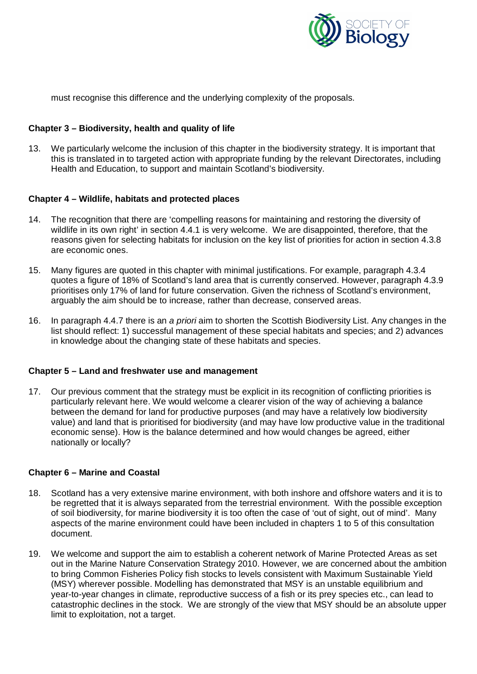

must recognise this difference and the underlying complexity of the proposals.

### **Chapter 3 – Biodiversity, health and quality of life**

13. We particularly welcome the inclusion of this chapter in the biodiversity strategy. It is important that this is translated in to targeted action with appropriate funding by the relevant Directorates, including Health and Education, to support and maintain Scotland's biodiversity.

### **Chapter 4 – Wildlife, habitats and protected places**

- 14. The recognition that there are 'compelling reasons for maintaining and restoring the diversity of wildlife in its own right' in section 4.4.1 is very welcome. We are disappointed, therefore, that the reasons given for selecting habitats for inclusion on the key list of priorities for action in section 4.3.8 are economic ones.
- 15. Many figures are quoted in this chapter with minimal justifications. For example, paragraph 4.3.4 quotes a figure of 18% of Scotland's land area that is currently conserved. However, paragraph 4.3.9 prioritises only 17% of land for future conservation. Given the richness of Scotland's environment, arguably the aim should be to increase, rather than decrease, conserved areas.
- 16. In paragraph 4.4.7 there is an *a priori* aim to shorten the Scottish Biodiversity List. Any changes in the list should reflect: 1) successful management of these special habitats and species; and 2) advances in knowledge about the changing state of these habitats and species.

### **Chapter 5 – Land and freshwater use and management**

17. Our previous comment that the strategy must be explicit in its recognition of conflicting priorities is particularly relevant here. We would welcome a clearer vision of the way of achieving a balance between the demand for land for productive purposes (and may have a relatively low biodiversity value) and land that is prioritised for biodiversity (and may have low productive value in the traditional economic sense). How is the balance determined and how would changes be agreed, either nationally or locally?

### **Chapter 6 – Marine and Coastal**

- 18. Scotland has a very extensive marine environment, with both inshore and offshore waters and it is to be regretted that it is always separated from the terrestrial environment. With the possible exception of soil biodiversity, for marine biodiversity it is too often the case of 'out of sight, out of mind'. Many aspects of the marine environment could have been included in chapters 1 to 5 of this consultation document.
- 19. We welcome and support the aim to establish a coherent network of Marine Protected Areas as set out in the Marine Nature Conservation Strategy 2010. However, we are concerned about the ambition to bring Common Fisheries Policy fish stocks to levels consistent with Maximum Sustainable Yield (MSY) wherever possible. Modelling has demonstrated that MSY is an unstable equilibrium and year-to-year changes in climate, reproductive success of a fish or its prey species etc., can lead to catastrophic declines in the stock. We are strongly of the view that MSY should be an absolute upper limit to exploitation, not a target.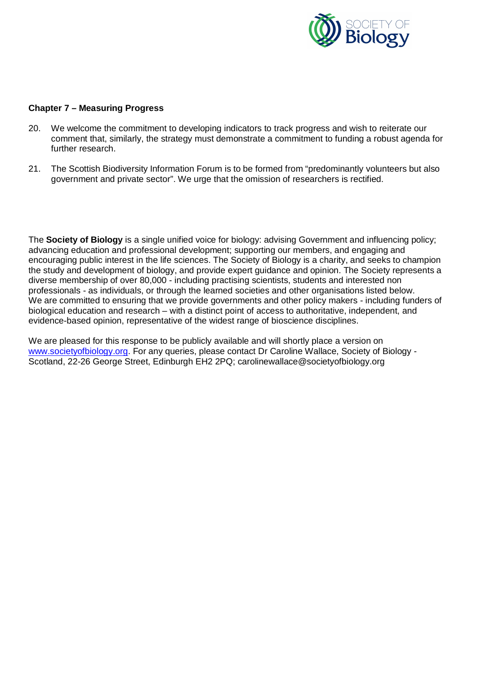

#### **Chapter 7 – Measuring Progress**

- 20. We welcome the commitment to developing indicators to track progress and wish to reiterate our comment that, similarly, the strategy must demonstrate a commitment to funding a robust agenda for further research.
- 21. The Scottish Biodiversity Information Forum is to be formed from "predominantly volunteers but also government and private sector". We urge that the omission of researchers is rectified.

The **Society of Biology** is a single unified voice for biology: advising Government and influencing policy; advancing education and professional development; supporting our members, and engaging and encouraging public interest in the life sciences. The Society of Biology is a charity, and seeks to champion the study and development of biology, and provide expert guidance and opinion. The Society represents a diverse membership of over 80,000 - including practising scientists, students and interested non professionals - as individuals, or through the learned societies and other organisations listed below. We are committed to ensuring that we provide governments and other policy makers - including funders of biological education and research – with a distinct point of access to authoritative, independent, and evidence-based opinion, representative of the widest range of bioscience disciplines.

We are pleased for this response to be publicly available and will shortly place a version on [www.societyofbiology.org.](http://www.societyofbiology.org/) For any queries, please contact Dr Caroline Wallace, Society of Biology - Scotland, 22-26 George Street, Edinburgh EH2 2PQ; carolinewallace@societyofbiology.org